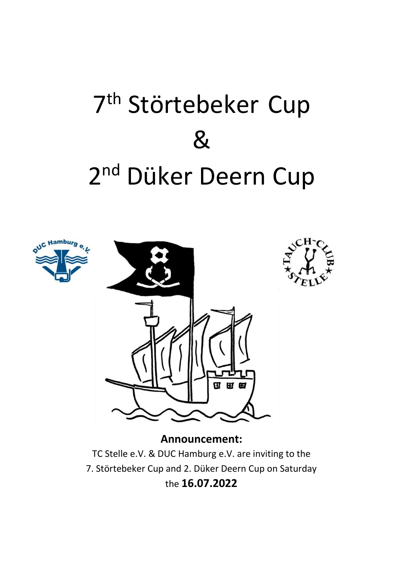# 7<sup>th</sup> Störtebeker Cup & 2<sup>nd</sup> Düker Deern Cup





## Announcement:

TC Stelle e.V. & DUC Hamburg e.V. are inviting to the 7. Störtebeker Cup and 2. Düker Deern Cup on Saturday the 16.07.2022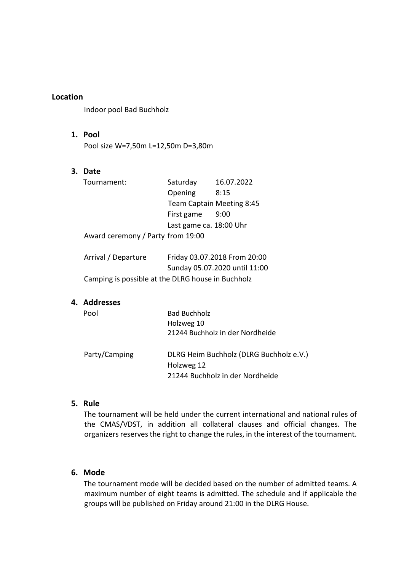#### Location

Indoor pool Bad Buchholz

### 1. Pool

Pool size W=7,50m L=12,50m D=3,80m

#### 3. Date

| Tournament:                       | Saturday                  | 16.07.2022 |
|-----------------------------------|---------------------------|------------|
|                                   | Opening                   | 8:15       |
|                                   | Team Captain Meeting 8:45 |            |
|                                   | First game                | 9:00       |
|                                   | Last game ca. 18:00 Uhr   |            |
| Award ceremony / Party from 19:00 |                           |            |

| Arrival / Departure | Friday 03.07.2018 From 20:00                      |
|---------------------|---------------------------------------------------|
|                     | Sunday 05.07.2020 until 11:00                     |
|                     | Camping is possible at the DLRG house in Buchholz |

#### 4. Addresses

| Pool          | <b>Bad Buchholz</b><br>Holzweg 10<br>21244 Buchholz in der Nordheide                     |
|---------------|------------------------------------------------------------------------------------------|
| Party/Camping | DLRG Heim Buchholz (DLRG Buchholz e.V.)<br>Holzweg 12<br>21244 Buchholz in der Nordheide |

#### 5. Rule

The tournament will be held under the current international and national rules of the CMAS/VDST, in addition all collateral clauses and official changes. The organizers reserves the right to change the rules, in the interest of the tournament.

#### 6. Mode

The tournament mode will be decided based on the number of admitted teams. A maximum number of eight teams is admitted. The schedule and if applicable the groups will be published on Friday around 21:00 in the DLRG House.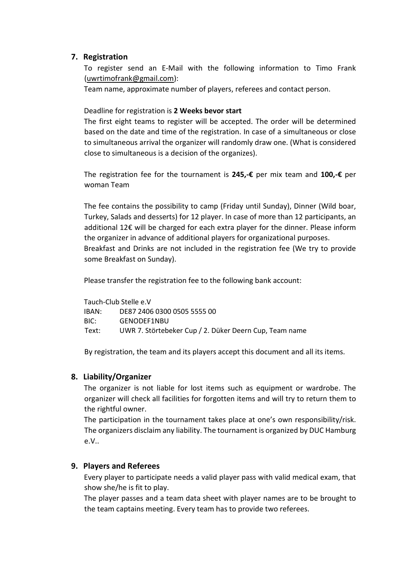#### 7. Registration

To register send an E-Mail with the following information to Timo Frank (uwrtimofrank@gmail.com):

Team name, approximate number of players, referees and contact person.

#### Deadline for registration is 2 Weeks bevor start

The first eight teams to register will be accepted. The order will be determined based on the date and time of the registration. In case of a simultaneous or close to simultaneous arrival the organizer will randomly draw one. (What is considered close to simultaneous is a decision of the organizes).

The registration fee for the tournament is 245,- $\epsilon$  per mix team and 100,- $\epsilon$  per woman Team

The fee contains the possibility to camp (Friday until Sunday), Dinner (Wild boar, Turkey, Salads and desserts) for 12 player. In case of more than 12 participants, an additional 12€ will be charged for each extra player for the dinner. Please inform the organizer in advance of additional players for organizational purposes. Breakfast and Drinks are not included in the registration fee (We try to provide some Breakfast on Sunday).

Please transfer the registration fee to the following bank account:

Tauch-Club Stelle e.V IBAN: DE87 2406 0300 0505 5555 00 BIC: GENODEF1NBU Text: UWR 7. Störtebeker Cup / 2. Düker Deern Cup, Team name

By registration, the team and its players accept this document and all its items.

#### 8. Liability/Organizer

The organizer is not liable for lost items such as equipment or wardrobe. The organizer will check all facilities for forgotten items and will try to return them to the rightful owner.

The participation in the tournament takes place at one's own responsibility/risk. The organizers disclaim any liability. The tournament is organized by DUC Hamburg e.V..

#### 9. Players and Referees

Every player to participate needs a valid player pass with valid medical exam, that show she/he is fit to play.

The player passes and a team data sheet with player names are to be brought to the team captains meeting. Every team has to provide two referees.